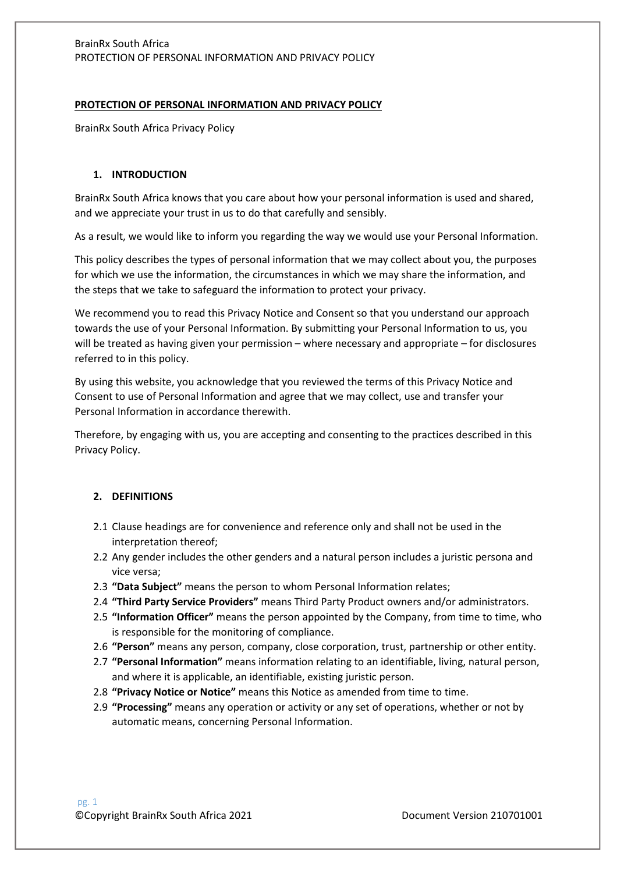### **PROTECTION OF PERSONAL INFORMATION AND PRIVACY POLICY**

BrainRx South Africa Privacy Policy

#### **1. INTRODUCTION**

BrainRx South Africa knows that you care about how your personal information is used and shared, and we appreciate your trust in us to do that carefully and sensibly.

As a result, we would like to inform you regarding the way we would use your Personal Information.

This policy describes the types of personal information that we may collect about you, the purposes for which we use the information, the circumstances in which we may share the information, and the steps that we take to safeguard the information to protect your privacy.

We recommend you to read this Privacy Notice and Consent so that you understand our approach towards the use of your Personal Information. By submitting your Personal Information to us, you will be treated as having given your permission – where necessary and appropriate – for disclosures referred to in this policy.

By using this website, you acknowledge that you reviewed the terms of this Privacy Notice and Consent to use of Personal Information and agree that we may collect, use and transfer your Personal Information in accordance therewith.

Therefore, by engaging with us, you are accepting and consenting to the practices described in this Privacy Policy.

### **2. DEFINITIONS**

- 2.1 Clause headings are for convenience and reference only and shall not be used in the interpretation thereof;
- 2.2 Any gender includes the other genders and a natural person includes a juristic persona and vice versa;
- 2.3 **"Data Subject"** means the person to whom Personal Information relates;
- 2.4 **"Third Party Service Providers"** means Third Party Product owners and/or administrators.
- 2.5 **"Information Officer"** means the person appointed by the Company, from time to time, who is responsible for the monitoring of compliance.
- 2.6 **"Person"** means any person, company, close corporation, trust, partnership or other entity.
- 2.7 **"Personal Information"** means information relating to an identifiable, living, natural person, and where it is applicable, an identifiable, existing juristic person.
- 2.8 **"Privacy Notice or Notice"** means this Notice as amended from time to time.
- 2.9 **"Processing"** means any operation or activity or any set of operations, whether or not by automatic means, concerning Personal Information.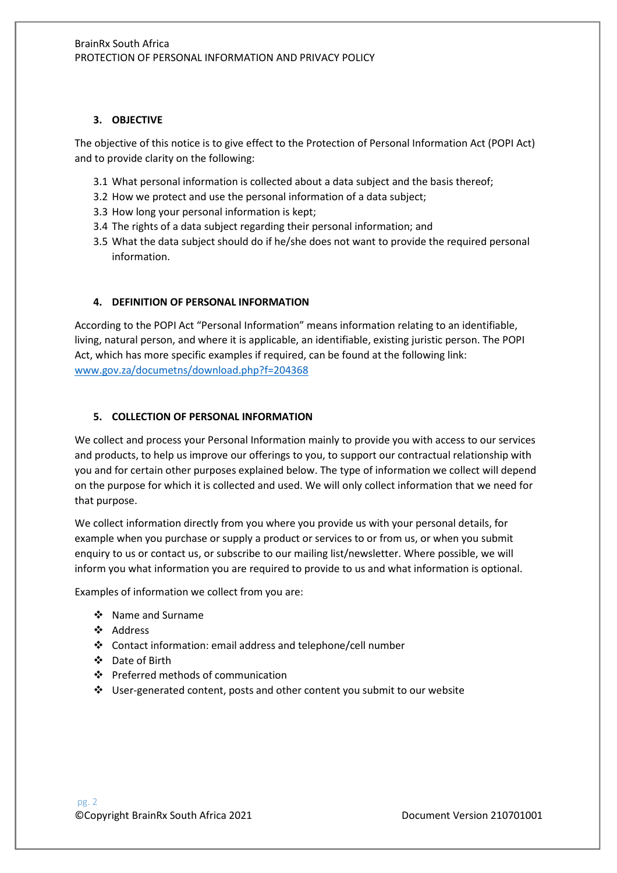#### **3. OBJECTIVE**

The objective of this notice is to give effect to the Protection of Personal Information Act (POPI Act) and to provide clarity on the following:

- 3.1 What personal information is collected about a data subject and the basis thereof;
- 3.2 How we protect and use the personal information of a data subject;
- 3.3 How long your personal information is kept;
- 3.4 The rights of a data subject regarding their personal information; and
- 3.5 What the data subject should do if he/she does not want to provide the required personal information.

#### **4. DEFINITION OF PERSONAL INFORMATION**

According to the POPI Act "Personal Information" means information relating to an identifiable, living, natural person, and where it is applicable, an identifiable, existing juristic person. The POPI Act, which has more specific examples if required, can be found at the following link: www.gov.za/documetns/download.php?f=204368

#### **5. COLLECTION OF PERSONAL INFORMATION**

We collect and process your Personal Information mainly to provide you with access to our services and products, to help us improve our offerings to you, to support our contractual relationship with you and for certain other purposes explained below. The type of information we collect will depend on the purpose for which it is collected and used. We will only collect information that we need for that purpose.

We collect information directly from you where you provide us with your personal details, for example when you purchase or supply a product or services to or from us, or when you submit enquiry to us or contact us, or subscribe to our mailing list/newsletter. Where possible, we will inform you what information you are required to provide to us and what information is optional.

Examples of information we collect from you are:

- ❖ Name and Surname
- Address
- Contact information: email address and telephone/cell number
- Date of Birth
- ❖ Preferred methods of communication
- User-generated content, posts and other content you submit to our website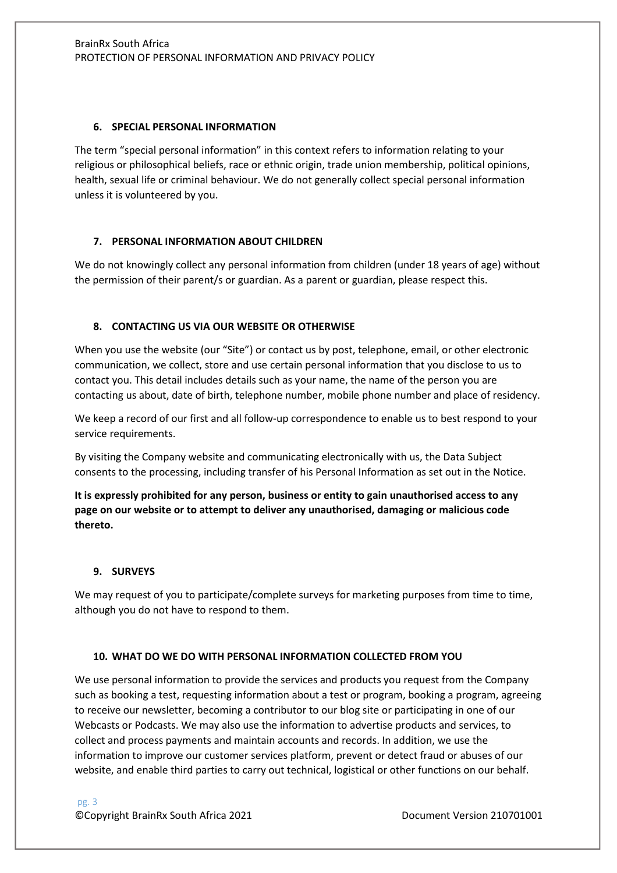#### **6. SPECIAL PERSONAL INFORMATION**

The term "special personal information" in this context refers to information relating to your religious or philosophical beliefs, race or ethnic origin, trade union membership, political opinions, health, sexual life or criminal behaviour. We do not generally collect special personal information unless it is volunteered by you.

## **7. PERSONAL INFORMATION ABOUT CHILDREN**

We do not knowingly collect any personal information from children (under 18 years of age) without the permission of their parent/s or guardian. As a parent or guardian, please respect this.

# **8. CONTACTING US VIA OUR WEBSITE OR OTHERWISE**

When you use the website (our "Site") or contact us by post, telephone, email, or other electronic communication, we collect, store and use certain personal information that you disclose to us to contact you. This detail includes details such as your name, the name of the person you are contacting us about, date of birth, telephone number, mobile phone number and place of residency.

We keep a record of our first and all follow-up correspondence to enable us to best respond to your service requirements.

By visiting the Company website and communicating electronically with us, the Data Subject consents to the processing, including transfer of his Personal Information as set out in the Notice.

**It is expressly prohibited for any person, business or entity to gain unauthorised access to any page on our website or to attempt to deliver any unauthorised, damaging or malicious code thereto.** 

### **9. SURVEYS**

We may request of you to participate/complete surveys for marketing purposes from time to time, although you do not have to respond to them.

### **10. WHAT DO WE DO WITH PERSONAL INFORMATION COLLECTED FROM YOU**

We use personal information to provide the services and products you request from the Company such as booking a test, requesting information about a test or program, booking a program, agreeing to receive our newsletter, becoming a contributor to our blog site or participating in one of our Webcasts or Podcasts. We may also use the information to advertise products and services, to collect and process payments and maintain accounts and records. In addition, we use the information to improve our customer services platform, prevent or detect fraud or abuses of our website, and enable third parties to carry out technical, logistical or other functions on our behalf.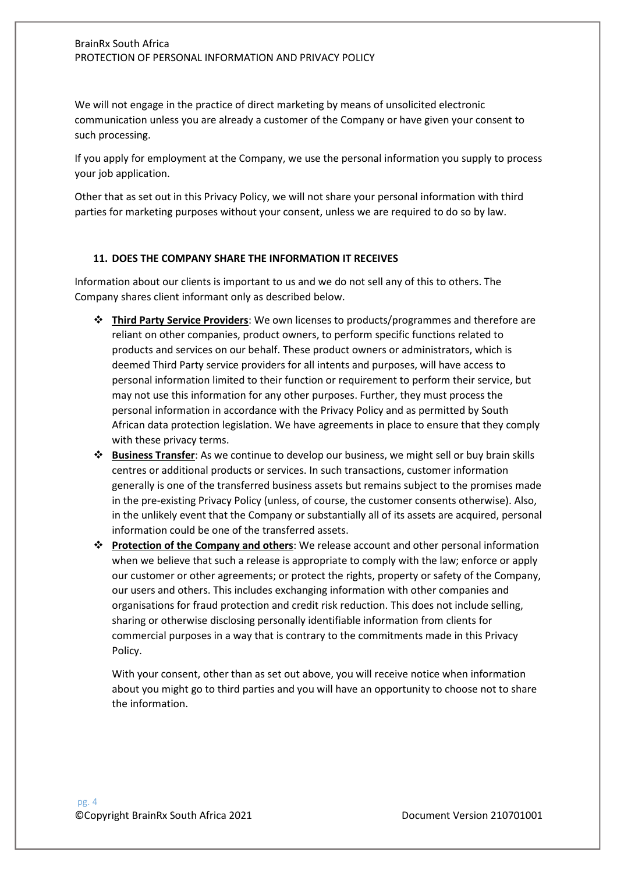#### BrainRx South Africa PROTECTION OF PERSONAL INFORMATION AND PRIVACY POLICY

We will not engage in the practice of direct marketing by means of unsolicited electronic communication unless you are already a customer of the Company or have given your consent to such processing.

If you apply for employment at the Company, we use the personal information you supply to process your job application.

Other that as set out in this Privacy Policy, we will not share your personal information with third parties for marketing purposes without your consent, unless we are required to do so by law.

#### **11. DOES THE COMPANY SHARE THE INFORMATION IT RECEIVES**

Information about our clients is important to us and we do not sell any of this to others. The Company shares client informant only as described below.

- **Third Party Service Providers**: We own licenses to products/programmes and therefore are reliant on other companies, product owners, to perform specific functions related to products and services on our behalf. These product owners or administrators, which is deemed Third Party service providers for all intents and purposes, will have access to personal information limited to their function or requirement to perform their service, but may not use this information for any other purposes. Further, they must process the personal information in accordance with the Privacy Policy and as permitted by South African data protection legislation. We have agreements in place to ensure that they comply with these privacy terms.
- **Business Transfer**: As we continue to develop our business, we might sell or buy brain skills centres or additional products or services. In such transactions, customer information generally is one of the transferred business assets but remains subject to the promises made in the pre-existing Privacy Policy (unless, of course, the customer consents otherwise). Also, in the unlikely event that the Company or substantially all of its assets are acquired, personal information could be one of the transferred assets.
- **Protection of the Company and others**: We release account and other personal information when we believe that such a release is appropriate to comply with the law; enforce or apply our customer or other agreements; or protect the rights, property or safety of the Company, our users and others. This includes exchanging information with other companies and organisations for fraud protection and credit risk reduction. This does not include selling, sharing or otherwise disclosing personally identifiable information from clients for commercial purposes in a way that is contrary to the commitments made in this Privacy Policy.

With your consent, other than as set out above, you will receive notice when information about you might go to third parties and you will have an opportunity to choose not to share the information.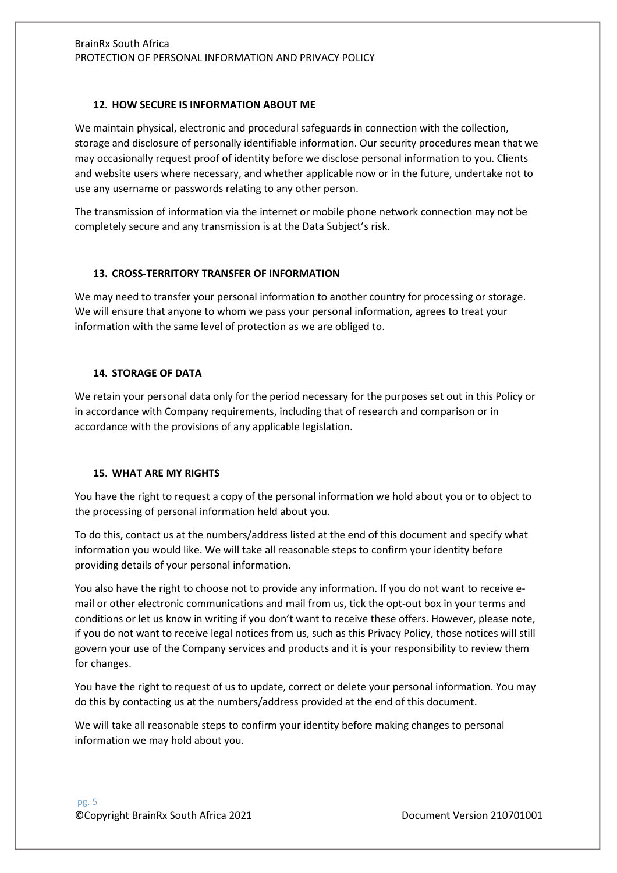### **12. HOW SECURE IS INFORMATION ABOUT ME**

We maintain physical, electronic and procedural safeguards in connection with the collection, storage and disclosure of personally identifiable information. Our security procedures mean that we may occasionally request proof of identity before we disclose personal information to you. Clients and website users where necessary, and whether applicable now or in the future, undertake not to use any username or passwords relating to any other person.

The transmission of information via the internet or mobile phone network connection may not be completely secure and any transmission is at the Data Subject's risk.

### **13. CROSS-TERRITORY TRANSFER OF INFORMATION**

We may need to transfer your personal information to another country for processing or storage. We will ensure that anyone to whom we pass your personal information, agrees to treat your information with the same level of protection as we are obliged to.

### **14. STORAGE OF DATA**

We retain your personal data only for the period necessary for the purposes set out in this Policy or in accordance with Company requirements, including that of research and comparison or in accordance with the provisions of any applicable legislation.

### **15. WHAT ARE MY RIGHTS**

You have the right to request a copy of the personal information we hold about you or to object to the processing of personal information held about you.

To do this, contact us at the numbers/address listed at the end of this document and specify what information you would like. We will take all reasonable steps to confirm your identity before providing details of your personal information.

You also have the right to choose not to provide any information. If you do not want to receive email or other electronic communications and mail from us, tick the opt-out box in your terms and conditions or let us know in writing if you don't want to receive these offers. However, please note, if you do not want to receive legal notices from us, such as this Privacy Policy, those notices will still govern your use of the Company services and products and it is your responsibility to review them for changes.

You have the right to request of us to update, correct or delete your personal information. You may do this by contacting us at the numbers/address provided at the end of this document.

We will take all reasonable steps to confirm your identity before making changes to personal information we may hold about you.